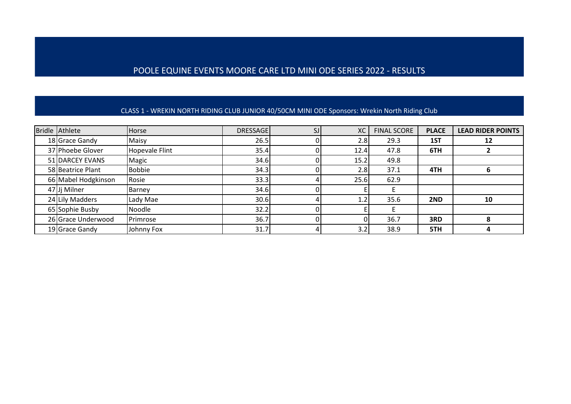# POOLE EQUINE EVENTS MOORE CARE LTD MINI ODE SERIES 2022 - RESULTS

#### CLASS 1 - WREKIN NORTH RIDING CLUB JUNIOR 40/50CM MINI ODE Sponsors: Wrekin North Riding Club

| Bridle Athlete      | Horse                 | <b>DRESSAGE</b> | <b>XC</b> | <b>FINAL SCORE</b> | <b>PLACE</b> | <b>LEAD RIDER POINTS</b> |
|---------------------|-----------------------|-----------------|-----------|--------------------|--------------|--------------------------|
| 18 Grace Gandy      | Maisy                 | 26.5            | 2.8       | 29.3               | 1ST          | 12                       |
| 37 Phoebe Glover    | <b>Hopevale Flint</b> | 35.4            | 12.4      | 47.8               | 6TH          |                          |
| 51 DARCEY EVANS     | Magic                 | 34.6            | 15.2      | 49.8               |              |                          |
| 58 Beatrice Plant   | <b>Bobbie</b>         | 34.3            | 2.8       | 37.1               | 4TH          |                          |
| 66 Mabel Hodgkinson | Rosie                 | 33.3            | 25.6      | 62.9               |              |                          |
| 47 Jj Milner        | Barney                | 34.6            |           |                    |              |                          |
| 24 Lily Madders     | Lady Mae              | 30.6            | 1.2       | 35.6               | 2ND          | 10                       |
| 65 Sophie Busby     | Noodle                | 32.2            |           |                    |              |                          |
| 26 Grace Underwood  | Primrose              | 36.7            | 01        | 36.7               | 3RD          |                          |
| 19 Grace Gandy      | Johnny Fox            | 31.7            | 3.2       | 38.9               | 5TH          |                          |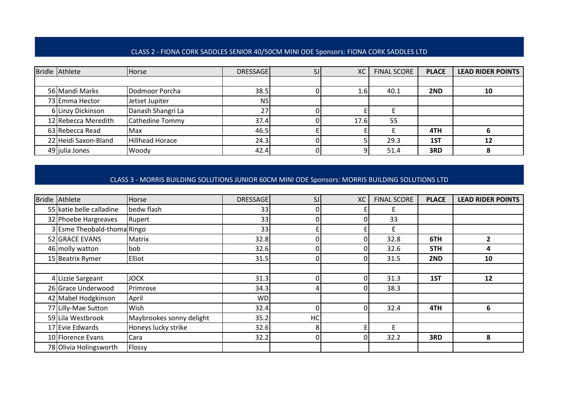#### CLASS 2 - FIONA CORK SADDLES SENIOR 40/50CM MINI ODE Sponsors: FIONA CORK SADDLES LTD

| Bridle Athlete       | <b>Horse</b>      | <b>DRESSAGE</b> | XC   | <b>FINAL SCORE</b> | <b>PLACE</b> | <b>LEAD RIDER POINTS</b> |
|----------------------|-------------------|-----------------|------|--------------------|--------------|--------------------------|
|                      |                   |                 |      |                    |              |                          |
| 56 Mandi Marks       | Dodmoor Porcha    | 38.5            | 1.6  | 40.1               | 2ND          | 10                       |
| 73 Emma Hector       | Jetset Jupiter    | <b>NS</b>       |      |                    |              |                          |
| 6 Linzy Dickinson    | Danash Shangri La | 27              |      |                    |              |                          |
| 12 Rebecca Meredith  | Cathedine Tommy   | 37.4            | 17.6 | 55                 |              |                          |
| 63 Rebecca Read      | Max               | 46.5            |      |                    | 4TH          |                          |
| 22 Heidi Saxon-Bland | Hillhead Horace   | 24.3            |      | 29.3               | 1ST          | 12                       |
| 49 julia Jones       | Woody             | 42.4            |      | 51.4               | 3RD          |                          |

# CLASS 3 - MORRIS BUILDING SOLUTIONS JUNIOR 60CM MINI ODE Sponsors: MORRIS BUILDING SOLUTIONS LTD

| <b>Bridle Athlete</b>       | Horse                    | <b>DRESSAGE</b> | SJ       | <b>XC</b> | <b>FINAL SCORE</b> | <b>PLACE</b> | <b>LEAD RIDER POINTS</b> |
|-----------------------------|--------------------------|-----------------|----------|-----------|--------------------|--------------|--------------------------|
| 55 katie belle calladine    | bedw flash               | 33              |          |           |                    |              |                          |
| 32 Phoebe Hargreaves        | Rupert                   | 33              |          |           | 33                 |              |                          |
| 3 Esme Theobald-thoma Ringo |                          | 33              |          |           | F                  |              |                          |
| 52 GRACE EVANS              | Matrix                   | 32.8            |          | 0         | 32.8               | 6TH          |                          |
| 46 molly watton             | bob                      | 32.6            |          |           | 32.6               | 5TH          | 4                        |
| 15 Beatrix Rymer            | Elliot                   | 31.5            | O.       |           | 31.5               | 2ND          | 10                       |
|                             |                          |                 |          |           |                    |              |                          |
| 4 Lizzie Sargeant           | <b>JOCK</b>              | 31.3            | $\Omega$ | 0         | 31.3               | 1ST          | 12                       |
| 26 Grace Underwood          | Primrose                 | 34.3            |          |           | 38.3               |              |                          |
| 42 Mabel Hodgkinson         | April                    | <b>WD</b>       |          |           |                    |              |                          |
| 77 Lilly-Mae Sutton         | Wish                     | 32.4            | 0        | 0         | 32.4               | 4TH          | 6                        |
| 59 Lila Westbrook           | Maybrookes sonny delight | 35.2            | НC       |           |                    |              |                          |
| 17 Evie Edwards             | Honeys lucky strike      | 32.6            | 8        |           |                    |              |                          |
| 10 Florence Evans           | Cara                     | 32.2            | ΩI       | 0         | 32.2               | 3RD          | 8                        |
| 78 Olivia Holingsworth      | Flossy                   |                 |          |           |                    |              |                          |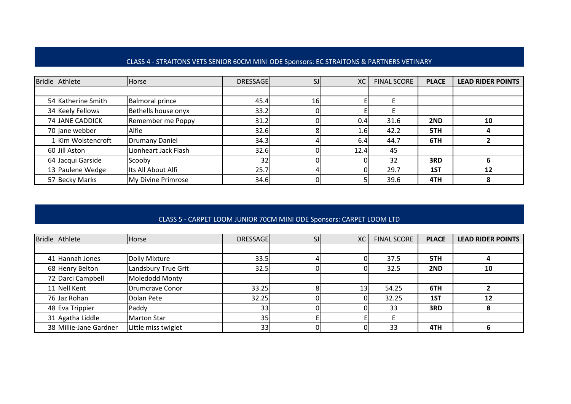# CLASS 4 - STRAITONS VETS SENIOR 60CM MINI ODE Sponsors: EC STRAITONS & PARTNERS VETINARY

| Bridle Athlete     | Horse                  | <b>DRESSAGE</b> |                 | <b>XC</b> | <b>FINAL SCORE</b> | <b>PLACE</b> | <b>LEAD RIDER POINTS</b> |
|--------------------|------------------------|-----------------|-----------------|-----------|--------------------|--------------|--------------------------|
|                    |                        |                 |                 |           |                    |              |                          |
| 54 Katherine Smith | <b>Balmoral prince</b> | 45.4            | 16 <sub>l</sub> |           |                    |              |                          |
| 34 Keely Fellows   | Bethells house onyx    | 33.2            |                 |           |                    |              |                          |
| 74 JANE CADDICK    | Remember me Poppy      | 31.2            |                 | 0.4       | 31.6               | 2ND          | 10                       |
| 70 jane webber     | Alfie                  | 32.6            |                 | 1.6       | 42.2               | 5TH          |                          |
| 1 Kim Wolstencroft | <b>Drumany Daniel</b>  | 34.3            |                 | 6.4       | 44.7               | 6TH          |                          |
| 60 Jill Aston      | Lionheart Jack Flash   | 32.6            |                 | 12.4      | 45                 |              |                          |
| 64 Jacqui Garside  | Scooby                 | 32              |                 |           | 32                 | 3RD          |                          |
| 13 Paulene Wedge   | Its All About Alfi     | 25.7            |                 |           | 29.7               | 1ST          | 12                       |
| 57 Becky Marks     | My Divine Primrose     | 34.6            |                 |           | 39.6               | 4TH          |                          |

## CLASS 5 - CARPET LOOM JUNIOR 70CM MINI ODE Sponsors: CARPET LOOM LTD

| Bridle Athlete         | Horse                  | <b>DRESSAGE</b> | XC | <b>FINAL SCORE</b> | <b>PLACE</b> | <b>LEAD RIDER POINTS</b> |
|------------------------|------------------------|-----------------|----|--------------------|--------------|--------------------------|
|                        |                        |                 |    |                    |              |                          |
| 41 Hannah Jones        | Dolly Mixture          | 33.5            |    | 37.5               | 5TH          |                          |
| 68 Henry Belton        | Landsbury True Grit    | 32.5            |    | 32.5               | 2ND          | 10                       |
| 72 Darci Campbell      | Moledodd Monty         |                 |    |                    |              |                          |
| 11 Nell Kent           | <b>Drumcrave Conor</b> | 33.25           | 13 | 54.25              | 6TH          |                          |
| 76 Jaz Rohan           | Dolan Pete             | 32.25           |    | 32.25              | 1ST          | 12                       |
| 48 Eva Trippier        | Paddy                  | 33 <sub>1</sub> |    | 33                 | 3RD          |                          |
| 31 Agatha Liddle       | Marton Star            | 35 <sub>1</sub> |    |                    |              |                          |
| 38 Millie-Jane Gardner | Little miss twiglet    | 33              |    | 33                 | 4TH          |                          |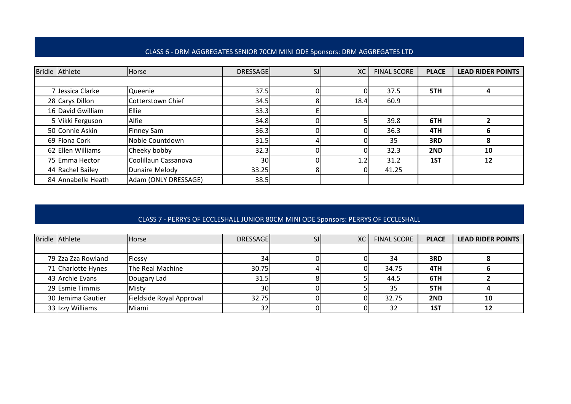#### CLASS 6 - DRM AGGREGATES SENIOR 70CM MINI ODE Sponsors: DRM AGGREGATES LTD

| Bridle Athlete     | Horse                | <b>DRESSAGE</b> | SJ | XC   | <b>FINAL SCORE</b> | <b>PLACE</b> | <b>LEAD RIDER POINTS</b> |
|--------------------|----------------------|-----------------|----|------|--------------------|--------------|--------------------------|
|                    |                      |                 |    |      |                    |              |                          |
| 7 Jessica Clarke   | Queenie              | 37.5            |    |      | 37.5               | 5TH          |                          |
| 28 Carys Dillon    | Cotterstown Chief    | 34.5            |    | 18.4 | 60.9               |              |                          |
| 16 David Gwilliam  | Ellie                | 33.3            |    |      |                    |              |                          |
| 5 Vikki Ferguson   | Alfie                | 34.8            |    |      | 39.8               | 6TH          |                          |
| 50 Connie Askin    | Finney Sam           | 36.3            |    |      | 36.3               | 4TH          | n                        |
| 69 Fiona Cork      | Noble Countdown      | 31.5            |    |      | 35                 | 3RD          | 8                        |
| 62 Ellen Williams  | Cheeky bobby         | 32.3            |    |      | 32.3               | 2ND          | 10                       |
| 75 Emma Hector     | Coolillaun Cassanova | 30              |    | 1.2  | 31.2               | 1ST          | 12                       |
| 44 Rachel Bailey   | Dunaire Melody       | 33.25           |    |      | 41.25              |              |                          |
| 84 Annabelle Heath | Adam (ONLY DRESSAGE) | 38.5            |    |      |                    |              |                          |

## CLASS 7 - PERRYS OF ECCLESHALL JUNIOR 80CM MINI ODE Sponsors: PERRYS OF ECCLESHALL

| Bridle Athlete     | <b>Horse</b>             | <b>DRESSAGE</b> | <b>XC</b> | <b>FINAL SCORE</b> | <b>PLACE</b> | <b>LEAD RIDER POINTS</b> |
|--------------------|--------------------------|-----------------|-----------|--------------------|--------------|--------------------------|
|                    |                          |                 |           |                    |              |                          |
| 79 Zza Zza Rowland | Flossy                   | 34 <sub>l</sub> |           | 34                 | 3RD          |                          |
| 71 Charlotte Hynes | The Real Machine         | 30.75           |           | 34.75              | 4TH          |                          |
| 43 Archie Evans    | Dougary Lad              | 31.5            |           | 44.5               | 6TH          |                          |
| 29 Esmie Timmis    | Misty                    | 30              |           | 35                 | 5TH          |                          |
| 30 Jemima Gautier  | Fieldside Royal Approval | 32.75           |           | 32.75              | 2ND          | 10                       |
| 33 Izzy Williams   | Miami                    | 32 <sub>1</sub> |           | 32                 | 1ST          |                          |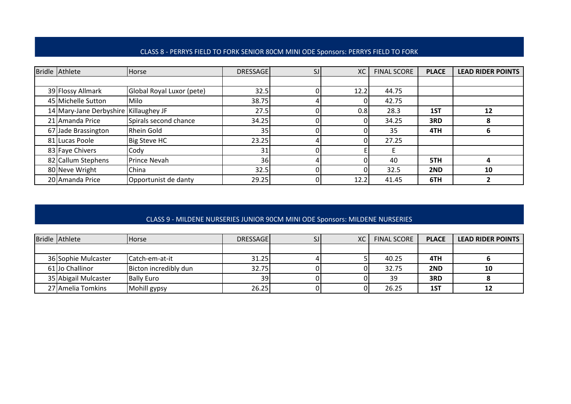#### CLASS 8 - PERRYS FIELD TO FORK SENIOR 80CM MINI ODE Sponsors: PERRYS FIELD TO FORK

| Bridle Athlete                        | <b>Horse</b>              | <b>DRESSAGE</b> | SJ | <b>XC</b> | <b>FINAL SCORE</b> | <b>PLACE</b> | <b>LEAD RIDER POINTS</b> |
|---------------------------------------|---------------------------|-----------------|----|-----------|--------------------|--------------|--------------------------|
|                                       |                           |                 |    |           |                    |              |                          |
| 39 Flossy Allmark                     | Global Royal Luxor (pete) | 32.5            |    | 12.2      | 44.75              |              |                          |
| 45 Michelle Sutton                    | Milo                      | 38.75           |    |           | 42.75              |              |                          |
| 14 Mary-Jane Derbyshire Killaughey JF |                           | 27.5            |    | 0.8       | 28.3               | 1ST          | 12                       |
| 21 Amanda Price                       | Spirals second chance     | 34.25           |    |           | 34.25              | 3RD          | δ                        |
| 67 Jade Brassington                   | Rhein Gold                | 35              |    |           | 35                 | 4TH          | b                        |
| 81 Lucas Poole                        | Big Steve HC              | 23.25           |    |           | 27.25              |              |                          |
| 83 Faye Chivers                       | Cody                      | 31              |    |           |                    |              |                          |
| 82 Callum Stephens                    | Prince Nevah              | 36              |    |           | 40                 | 5TH          |                          |
| 80 Neve Wright                        | China                     | 32.5            |    |           | 32.5               | 2ND          | 10                       |
| 20 Amanda Price                       | Opportunist de danty      | 29.25           |    | 12.2      | 41.45              | 6TH          |                          |

## CLASS 9 - MILDENE NURSERIES JUNIOR 90CM MINI ODE Sponsors: MILDENE NURSERIES

| Bridle Athlete       | <b>Horse</b>          | <b>DRESSAGEI</b> | XC | <b>FINAL SCORE</b> | <b>PLACE</b> | <b>LEAD RIDER POINTS</b> |
|----------------------|-----------------------|------------------|----|--------------------|--------------|--------------------------|
|                      |                       |                  |    |                    |              |                          |
| 36 Sophie Mulcaster  | ICatch-em-at-it       | 31.25            |    | 40.25              | 4TH          |                          |
| 61 Jo Challinor      | Bicton incredibly dun | 32.75            |    | 32.75              | 2ND          | 10                       |
| 35 Abigail Mulcaster | <b>Bally Euro</b>     | 39               |    | 39                 | 3RD          |                          |
| 27 Amelia Tomkins    | Mohill gypsy          | 26.25            |    | 26.25              | 1ST          | 12                       |